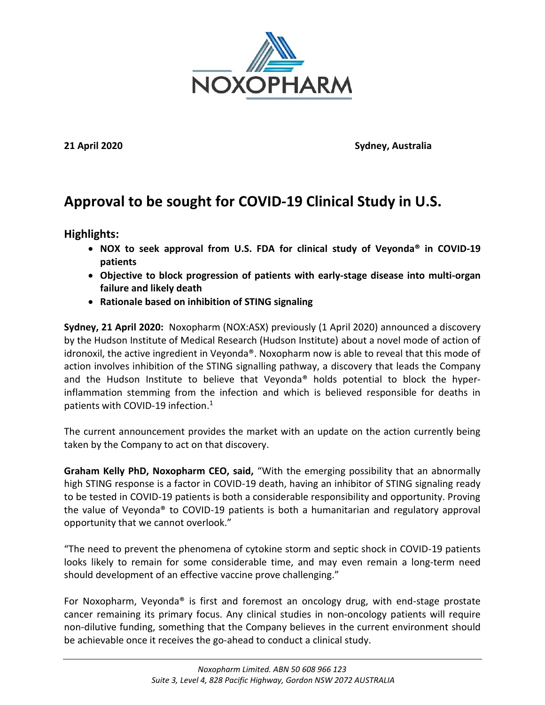

**21 April 2020 Sydney, Australia**

# **Approval to be sought for COVID-19 Clinical Study in U.S.**

**Highlights:**

- **NOX to seek approval from U.S. FDA for clinical study of Veyonda® in COVID-19 patients**
- **Objective to block progression of patients with early-stage disease into multi-organ failure and likely death**
- **Rationale based on inhibition of STING signaling**

**Sydney, 21 April 2020:** Noxopharm (NOX:ASX) previously (1 April 2020) announced a discovery by the Hudson Institute of Medical Research (Hudson Institute) about a novel mode of action of idronoxil, the active ingredient in Veyonda®. Noxopharm now is able to reveal that this mode of action involves inhibition of the STING signalling pathway, a discovery that leads the Company and the Hudson Institute to believe that Veyonda<sup>®</sup> holds potential to block the hyperinflammation stemming from the infection and which is believed responsible for deaths in patients with COVID-19 infection. 1

The current announcement provides the market with an update on the action currently being taken by the Company to act on that discovery.

**Graham Kelly PhD, Noxopharm CEO, said,** "With the emerging possibility that an abnormally high STING response is a factor in COVID-19 death, having an inhibitor of STING signaling ready to be tested in COVID-19 patients is both a considerable responsibility and opportunity. Proving the value of Veyonda® to COVID-19 patients is both a humanitarian and regulatory approval opportunity that we cannot overlook."

"The need to prevent the phenomena of cytokine storm and septic shock in COVID-19 patients looks likely to remain for some considerable time, and may even remain a long-term need should development of an effective vaccine prove challenging."

For Noxopharm, Veyonda® is first and foremost an oncology drug, with end-stage prostate cancer remaining its primary focus. Any clinical studies in non-oncology patients will require non-dilutive funding, something that the Company believes in the current environment should be achievable once it receives the go-ahead to conduct a clinical study.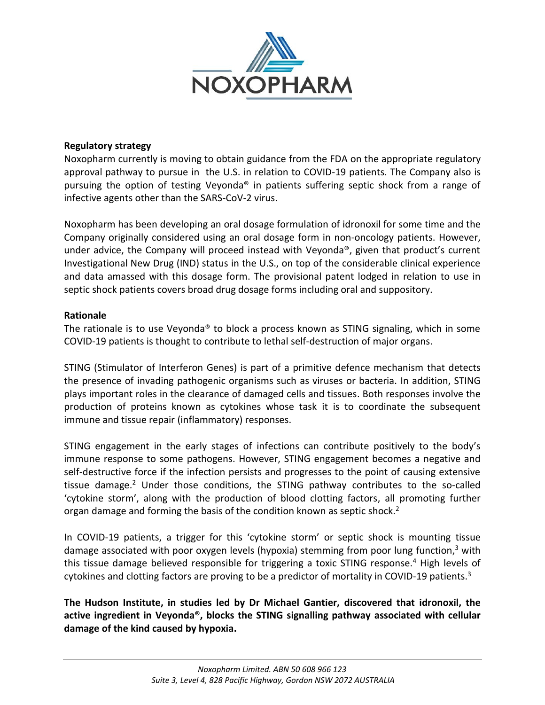

# **Regulatory strategy**

Noxopharm currently is moving to obtain guidance from the FDA on the appropriate regulatory approval pathway to pursue in the U.S. in relation to COVID-19 patients. The Company also is pursuing the option of testing Veyonda® in patients suffering septic shock from a range of infective agents other than the SARS-CoV-2 virus.

Noxopharm has been developing an oral dosage formulation of idronoxil for some time and the Company originally considered using an oral dosage form in non-oncology patients. However, under advice, the Company will proceed instead with Veyonda®, given that product's current Investigational New Drug (IND) status in the U.S., on top of the considerable clinical experience and data amassed with this dosage form. The provisional patent lodged in relation to use in septic shock patients covers broad drug dosage forms including oral and suppository.

# **Rationale**

The rationale is to use Veyonda® to block a process known as STING signaling, which in some COVID-19 patients is thought to contribute to lethal self-destruction of major organs.

STING (Stimulator of Interferon Genes) is part of a primitive defence mechanism that detects the presence of invading pathogenic organisms such as viruses or bacteria. In addition, STING plays important roles in the clearance of damaged cells and tissues. Both responses involve the production of proteins known as cytokines whose task it is to coordinate the subsequent immune and tissue repair (inflammatory) responses.

STING engagement in the early stages of infections can contribute positively to the body's immune response to some pathogens. However, STING engagement becomes a negative and self-destructive force if the infection persists and progresses to the point of causing extensive tissue damage.<sup>2</sup> Under those conditions, the STING pathway contributes to the so-called 'cytokine storm', along with the production of blood clotting factors, all promoting further organ damage and forming the basis of the condition known as septic shock.<sup>2</sup>

In COVID-19 patients, a trigger for this 'cytokine storm' or septic shock is mounting tissue damage associated with poor oxygen levels (hypoxia) stemming from poor lung function,<sup>3</sup> with this tissue damage believed responsible for triggering a toxic STING response.<sup>4</sup> High levels of cytokines and clotting factors are proving to be a predictor of mortality in COVID-19 patients.<sup>3</sup>

**The Hudson Institute, in studies led by Dr Michael Gantier, discovered that idronoxil, the active ingredient in Veyonda®, blocks the STING signalling pathway associated with cellular damage of the kind caused by hypoxia.**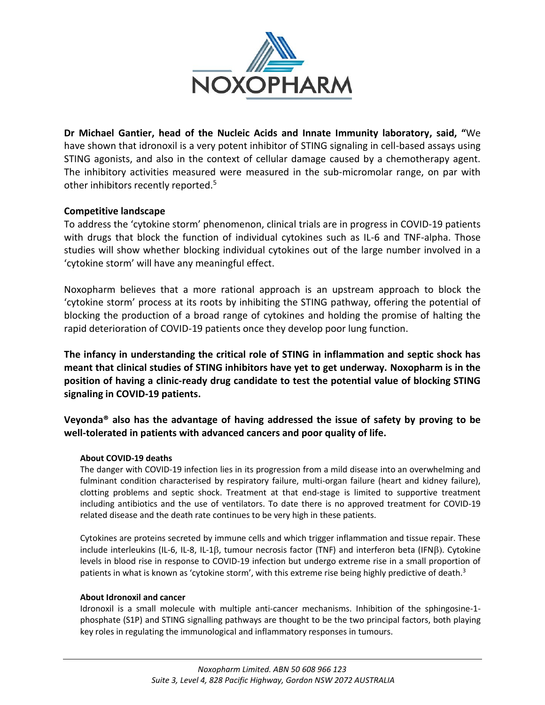

**Dr Michael Gantier, head of the Nucleic Acids and Innate Immunity laboratory, said, "**We have shown that idronoxil is a very potent inhibitor of STING signaling in cell-based assays using STING agonists, and also in the context of cellular damage caused by a chemotherapy agent. The inhibitory activities measured were measured in the sub-micromolar range, on par with other inhibitors recently reported.<sup>5</sup>

# **Competitive landscape**

To address the 'cytokine storm' phenomenon, clinical trials are in progress in COVID-19 patients with drugs that block the function of individual cytokines such as IL-6 and TNF-alpha. Those studies will show whether blocking individual cytokines out of the large number involved in a 'cytokine storm' will have any meaningful effect.

Noxopharm believes that a more rational approach is an upstream approach to block the 'cytokine storm' process at its roots by inhibiting the STING pathway, offering the potential of blocking the production of a broad range of cytokines and holding the promise of halting the rapid deterioration of COVID-19 patients once they develop poor lung function.

**The infancy in understanding the critical role of STING in inflammation and septic shock has meant that clinical studies of STING inhibitors have yet to get underway. Noxopharm is in the position of having a clinic-ready drug candidate to test the potential value of blocking STING signaling in COVID-19 patients.**

**Veyonda® also has the advantage of having addressed the issue of safety by proving to be well-tolerated in patients with advanced cancers and poor quality of life.**

# **About COVID-19 deaths**

The danger with COVID-19 infection lies in its progression from a mild disease into an overwhelming and fulminant condition characterised by respiratory failure, multi-organ failure (heart and kidney failure), clotting problems and septic shock. Treatment at that end-stage is limited to supportive treatment including antibiotics and the use of ventilators. To date there is no approved treatment for COVID-19 related disease and the death rate continues to be very high in these patients.

Cytokines are proteins secreted by immune cells and which trigger inflammation and tissue repair. These include interleukins (IL-6, IL-8, IL-1ß, tumour necrosis factor (TNF) and interferon beta (IFNß). Cytokine levels in blood rise in response to COVID-19 infection but undergo extreme rise in a small proportion of patients in what is known as 'cytokine storm', with this extreme rise being highly predictive of death.<sup>3</sup>

## **About Idronoxil and cancer**

Idronoxil is a small molecule with multiple anti-cancer mechanisms. Inhibition of the sphingosine-1 phosphate (S1P) and STING signalling pathways are thought to be the two principal factors, both playing key roles in regulating the immunological and inflammatory responses in tumours.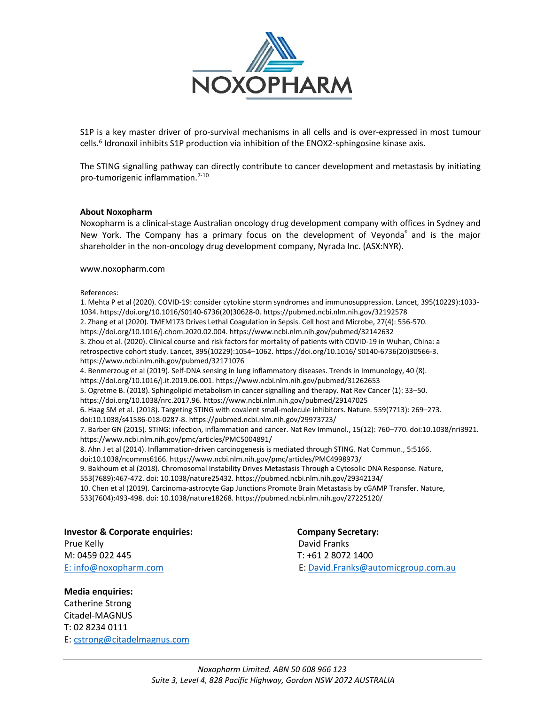

S1P is a key master driver of pro-survival mechanisms in all cells and is over-expressed in most tumour cells.<sup>6</sup> Idronoxil inhibits S1P production via inhibition of the ENOX2-sphingosine kinase axis.

The STING signalling pathway can directly contribute to cancer development and metastasis by initiating pro-tumorigenic inflammation.7-10

## **About Noxopharm**

Noxopharm is a clinical-stage Australian oncology drug development company with offices in Sydney and New York. The Company has a primary focus on the development of Veyonda® and is the major shareholder in the non-oncology drug development company, Nyrada Inc. (ASX:NYR).

www.noxopharm.com

#### References:

1. Mehta P et al (2020). COVID-19: consider cytokine storm syndromes and immunosuppression. Lancet, 395(10229):1033- 1034. https://doi.org/10.1016/S0140-6736(20)30628-0. https://pubmed.ncbi.nlm.nih.gov/32192578 2. Zhang et al (2020). TMEM173 Drives Lethal Coagulation in Sepsis. Cell host and Microbe, 27(4): 556-570. https://doi.org/10.1016/j.chom.2020.02.004.<https://www.ncbi.nlm.nih.gov/pubmed/32142632> 3. Zhou et al. (2020). Clinical course and risk factors for mortality of patients with COVID-19 in Wuhan, China: a retrospective cohort study. Lancet, 395(10229):1054–1062. https://doi.org/10.1016/ S0140-6736(20)30566-3. https://www.ncbi.nlm.nih.gov/pubmed/32171076 4. Benmerzoug et al (2019). Self-DNA sensing in lung inflammatory diseases. Trends in Immunology, 40 (8). https://doi.org/10.1016/j.it.2019.06.001[. https://www.ncbi.nlm.nih.gov/pubmed/31262653](https://www.ncbi.nlm.nih.gov/pubmed/31262653) 5. Ogretme B. (2018). Sphingolipid metabolism in cancer signalling and therapy. Nat Rev Cancer (1): 33–50. https://doi.org/10.1038/nrc.2017.96. <https://www.ncbi.nlm.nih.gov/pubmed/29147025> 6. Haag SM et al. (2018). Targeting STING with covalent small-molecule inhibitors. Nature. 559(7713): 269–273. doi:10.1038/s41586-018-0287-8. https://pubmed.ncbi.nlm.nih.gov/29973723/ 7. Barber GN (2015). STING: infection, inflammation and cancer. Nat Rev Immunol., 15(12): 760–770. doi:10.1038/nri3921. [https://www.ncbi.nlm.nih.gov/pmc/articles/PMC5004891/](https://www.ncbi.nlm.nih.gov/pmc/articles/PMC5004891) 8. Ahn J et al (2014). Inflammation-driven carcinogenesis is mediated through STING. Nat Commun., 5:5166. doi:10.1038/ncomms6166.<https://www.ncbi.nlm.nih.gov/pmc/articles/PMC4998973/> 9. Bakhoum et al (2018). Chromosomal Instability Drives Metastasis Through a Cytosolic DNA Response. Nature, 553(7689):467-472. doi: 10.1038/nature25432. <https://pubmed.ncbi.nlm.nih.gov/29342134/> 10. Chen et al (2019). Carcinoma-astrocyte Gap Junctions Promote Brain Metastasis by cGAMP Transfer. Nature, 533(7604):493-498. doi: 10.1038/nature18268. <https://pubmed.ncbi.nlm.nih.gov/27225120/>

**Investor & Corporate enquiries: Company Secretary:**  Prue Kelly **David Franks** M: 0459 022 445 T: +61 2 8072 1400 E: [info@noxopharm.com](mailto:info@noxopharm.com) E: [David.Franks@automicgroup.com.au](mailto:David.Franks@automicgroup.com.au)

## **Media enquiries:**

Catherine Strong Citadel-MAGNUS T: 02 8234 0111 E: [cstrong@citadelmagnus.com](mailto:cstrong@citadelmagnus.com)